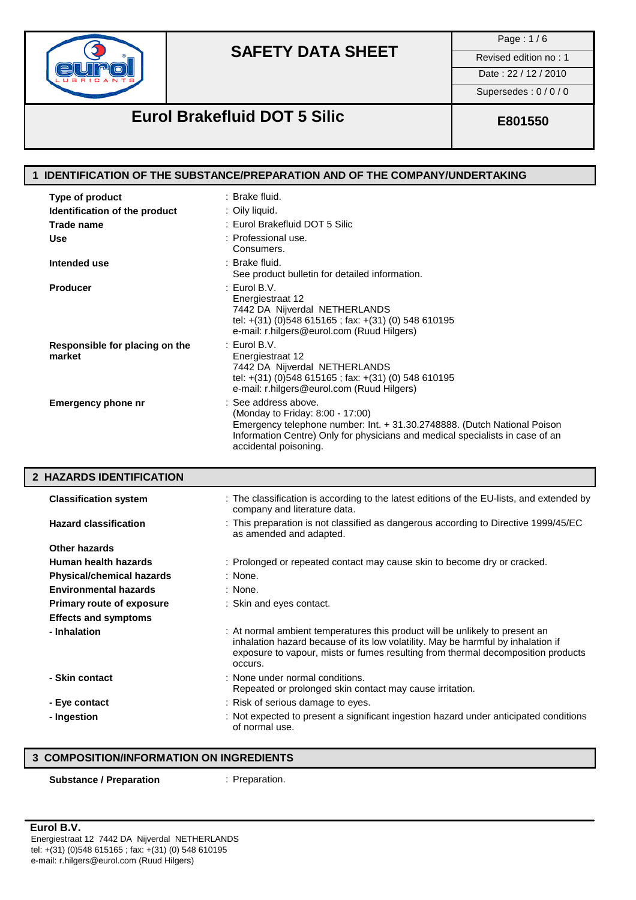

Page : 1 / 6

Date : 22 / 12 / 2010

Supersedes : 0 / 0 / 0

## **Eurol Brakefluid DOT 5 Silic E801550**

## **1 IDENTIFICATION OF THE SUBSTANCE/PREPARATION AND OF THE COMPANY/UNDERTAKING Type of product** : Brake fluid. **Identification of the product** : Oily liquid. Trade name  $\qquad \qquad :$  Eurol Brakefluid DOT 5 Silic **Use** : Professional use. Consumers. **Intended use** : Brake fluid. See product bulletin for detailed information. **Producer** : Eurol B.V. Energiestraat 12 7442 DA Nijverdal NETHERLANDS tel: +(31) (0)548 615165 ; fax: +(31) (0) 548 610195 e-mail: r.hilgers@eurol.com (Ruud Hilgers) **Responsible for placing on the : Eurol B.V.<br>market Energiestric market** Energiestraat 12 7442 DA Nijverdal NETHERLANDS tel: +(31) (0)548 615165 ; fax: +(31) (0) 548 610195 e-mail: r.hilgers@eurol.com (Ruud Hilgers) **Emergency phone nr** : See address above. (Monday to Friday: 8:00 - 17:00) Emergency telephone number: Int. + 31.30.2748888. (Dutch National Poison Information Centre) Only for physicians and medical specialists in case of an accidental poisoning. **2 HAZARDS IDENTIFICATION Classification system** : The classification is according to the latest editions of the EU-lists, and extended by company and literature data. **Hazard classification** : This preparation is not classified as dangerous according to Directive 1999/45/EC as amended and adapted. **Other hazards Human health hazards** : Prolonged or repeated contact may cause skin to become dry or cracked. **Physical/chemical hazards** : None. **Environmental hazards** : None. **Primary route of exposure** : Skin and eyes contact. **Effects and symptoms** - **Inhalation interpretation** : At normal ambient temperatures this product will be unlikely to present an inhalation hazard because of its low volatility. May be harmful by inhalation if exposure to vapour, mists or fumes resulting from thermal decomposition products occurs. **- Skin contact** : None under normal conditions. Repeated or prolonged skin contact may cause irritation. - Eye contact **Exercise : Risk of serious damage to eyes. - Ingestion** : Not expected to present a significant ingestion hazard under anticipated conditions of normal use.

## **3 COMPOSITION/INFORMATION ON INGREDIENTS**

### **Substance / Preparation** : Preparation.

### **Eurol B.V.**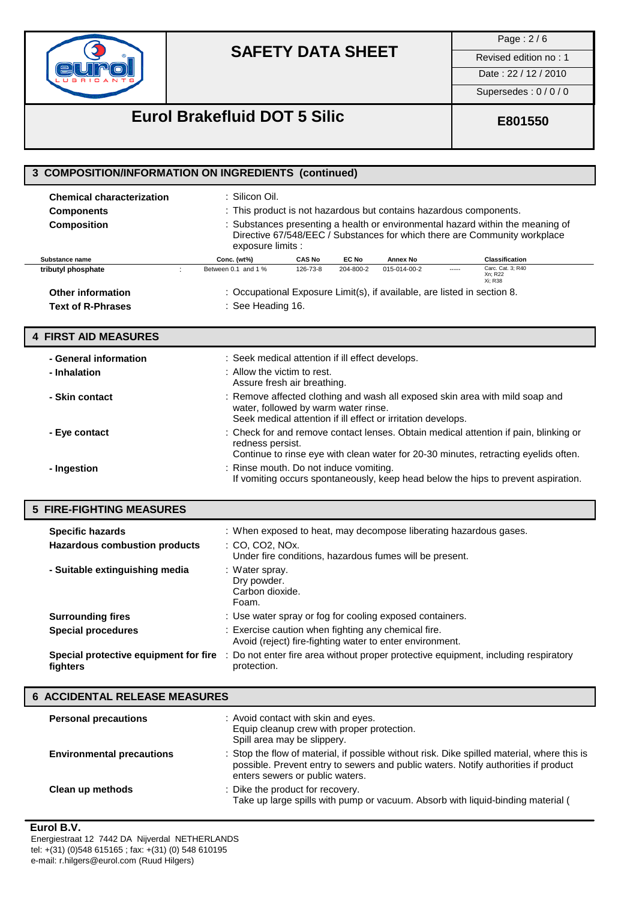

Page : 2 / 6

## Date: 22 / 12 / 2010

Supersedes : 0 / 0 / 0

# **Eurol Brakefluid DOT 5 Silic E801550**

| 3 COMPOSITION/INFORMATION ON INGREDIENTS (continued)                        |                                                                                                                                                                                                                                                                          |  |
|-----------------------------------------------------------------------------|--------------------------------------------------------------------------------------------------------------------------------------------------------------------------------------------------------------------------------------------------------------------------|--|
| <b>Chemical characterization</b><br><b>Components</b><br><b>Composition</b> | : Silicon Oil.<br>: This product is not hazardous but contains hazardous components.<br>: Substances presenting a health or environmental hazard within the meaning of<br>Directive 67/548/EEC / Substances for which there are Community workplace<br>exposure limits : |  |
| Substance name                                                              | Conc. (wt%)<br><b>CAS No</b><br>EC No<br><b>Annex No</b><br><b>Classification</b>                                                                                                                                                                                        |  |
| $\ddot{\phantom{a}}$<br>tributyl phosphate                                  | Carc. Cat. 3; R40<br>Between 0.1 and 1 %<br>126-73-8<br>204-800-2<br>015-014-00-2<br>$1 - 1 - 1 = 1$<br>Xn; R22                                                                                                                                                          |  |
| <b>Other information</b>                                                    | Xi; R38<br>: Occupational Exposure Limit(s), if available, are listed in section 8.                                                                                                                                                                                      |  |
| <b>Text of R-Phrases</b>                                                    | : See Heading 16.                                                                                                                                                                                                                                                        |  |
|                                                                             |                                                                                                                                                                                                                                                                          |  |
| <b>4 FIRST AID MEASURES</b>                                                 |                                                                                                                                                                                                                                                                          |  |
| - General information                                                       | : Seek medical attention if ill effect develops.                                                                                                                                                                                                                         |  |
| - Inhalation                                                                | : Allow the victim to rest.<br>Assure fresh air breathing.                                                                                                                                                                                                               |  |
| - Skin contact                                                              | : Remove affected clothing and wash all exposed skin area with mild soap and<br>water, followed by warm water rinse.<br>Seek medical attention if ill effect or irritation develops.                                                                                     |  |
| - Eye contact                                                               | : Check for and remove contact lenses. Obtain medical attention if pain, blinking or<br>redness persist.<br>Continue to rinse eye with clean water for 20-30 minutes, retracting eyelids often.                                                                          |  |
| - Ingestion                                                                 | : Rinse mouth. Do not induce vomiting.<br>If vomiting occurs spontaneously, keep head below the hips to prevent aspiration.                                                                                                                                              |  |
| <b>5 FIRE-FIGHTING MEASURES</b>                                             |                                                                                                                                                                                                                                                                          |  |
| <b>Specific hazards</b>                                                     | : When exposed to heat, may decompose liberating hazardous gases.                                                                                                                                                                                                        |  |
| <b>Hazardous combustion products</b>                                        | : CO, CO2, NOx.                                                                                                                                                                                                                                                          |  |
|                                                                             | Under fire conditions, hazardous fumes will be present.                                                                                                                                                                                                                  |  |
| - Suitable extinguishing media                                              | : Water spray.<br>Dry powder.<br>Carbon dioxide.<br>Foam.                                                                                                                                                                                                                |  |
| <b>Surrounding fires</b>                                                    | : Use water spray or fog for cooling exposed containers.                                                                                                                                                                                                                 |  |
| <b>Special procedures</b>                                                   | : Exercise caution when fighting any chemical fire.                                                                                                                                                                                                                      |  |
|                                                                             | Avoid (reject) fire-fighting water to enter environment.                                                                                                                                                                                                                 |  |
| Special protective equipment for fire<br>fighters                           | Do not enter fire area without proper protective equipment, including respiratory<br>protection.                                                                                                                                                                         |  |
| <b>6 ACCIDENTAL RELEASE MEASURES</b>                                        |                                                                                                                                                                                                                                                                          |  |
| <b>Personal precautions</b>                                                 | : Avoid contact with skin and eyes.<br>Equip cleanup crew with proper protection.<br>Spill area may be slippery.                                                                                                                                                         |  |
| <b>Environmental precautions</b>                                            | : Stop the flow of material, if possible without risk. Dike spilled material, where this is<br>possible. Prevent entry to sewers and public waters. Notify authorities if product<br>enters sewers or public waters.                                                     |  |

## enters sewers or public waters. **Clean up methods** : Dike the product for recovery. Take up large spills with pump or vacuum. Absorb with liquid-binding material (

**Eurol B.V.** Energiestraat 12 7442 DA Nijverdal NETHERLANDS tel: +(31) (0)548 615165 ; fax: +(31) (0) 548 610195 e-mail: r.hilgers@eurol.com (Ruud Hilgers)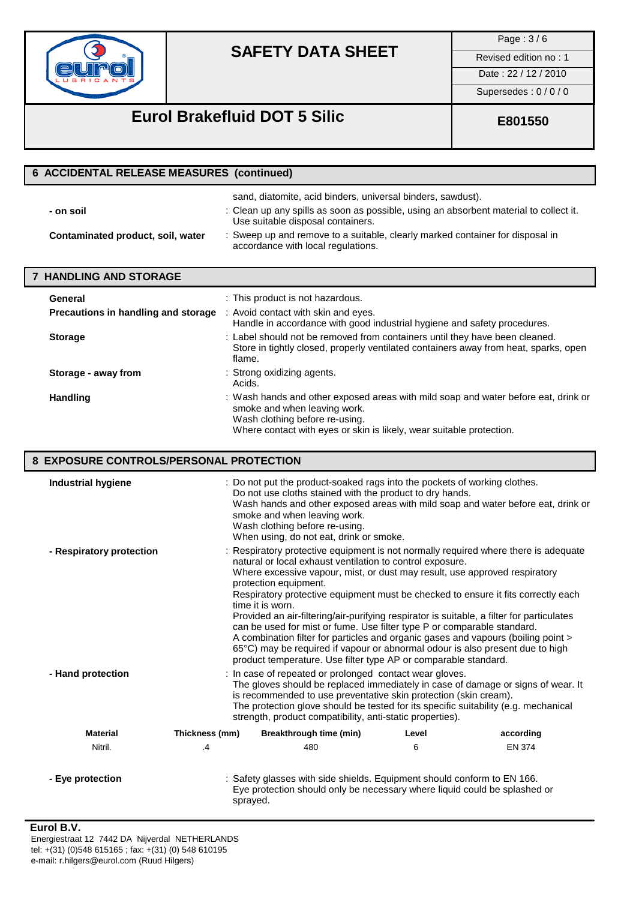

Page : 3 / 6

Date : 22 / 12 / 2010

Supersedes : 0 / 0 / 0

# **Eurol Brakefluid DOT 5 Silic EB01550**

| <b>6 ACCIDENTAL RELEASE MEASURES (continued)</b> |                                                                                                                                                                                           |  |
|--------------------------------------------------|-------------------------------------------------------------------------------------------------------------------------------------------------------------------------------------------|--|
| - on soil                                        | sand, diatomite, acid binders, universal binders, sawdust).<br>: Clean up any spills as soon as possible, using an absorbent material to collect it.<br>Use suitable disposal containers. |  |
| Contaminated product, soil, water                | : Sweep up and remove to a suitable, clearly marked container for disposal in<br>accordance with local regulations.                                                                       |  |
| <b>7 HANDLING AND STORAGE</b>                    |                                                                                                                                                                                           |  |
| General                                          | : This product is not hazardous.                                                                                                                                                          |  |
| Precautions in handling and storage              | : Avoid contact with skin and eyes.<br>Handle in accordance with good industrial hygiene and safety procedures.                                                                           |  |
| <b>Storage</b>                                   | : Label should not be removed from containers until they have been cleaned.<br>Store in tightly closed, properly ventilated containers away from heat, sparks, open<br>flame.             |  |
| Storage - away from                              | : Strong oxidizing agents.<br>Acids.                                                                                                                                                      |  |
| <b>Handling</b>                                  | : Wash hands and other exposed areas with mild soap and water before eat, drink or<br>smoke and when leaving work.<br>Wash clothing before re-using.                                      |  |

Where contact with eyes or skin is likely, wear suitable protection.

## **8 EXPOSURE CONTROLS/PERSONAL PROTECTION**

| <b>Industrial hygiene</b> |                | : Do not put the product-soaked rags into the pockets of working clothes.<br>Do not use cloths stained with the product to dry hands.<br>smoke and when leaving work.<br>Wash clothing before re-using.<br>When using, do not eat, drink or smoke.                                                                                                                                                                                                                                                                                                                                                                                                                                                                                                                                |       | Wash hands and other exposed areas with mild soap and water before eat, drink or |
|---------------------------|----------------|-----------------------------------------------------------------------------------------------------------------------------------------------------------------------------------------------------------------------------------------------------------------------------------------------------------------------------------------------------------------------------------------------------------------------------------------------------------------------------------------------------------------------------------------------------------------------------------------------------------------------------------------------------------------------------------------------------------------------------------------------------------------------------------|-------|----------------------------------------------------------------------------------|
| - Respiratory protection  |                | : Respiratory protective equipment is not normally required where there is adequate<br>natural or local exhaust ventilation to control exposure.<br>Where excessive vapour, mist, or dust may result, use approved respiratory<br>protection equipment.<br>Respiratory protective equipment must be checked to ensure it fits correctly each<br>time it is worn.<br>Provided an air-filtering/air-purifying respirator is suitable, a filter for particulates<br>can be used for mist or fume. Use filter type P or comparable standard.<br>A combination filter for particles and organic gases and vapours (boiling point ><br>65°C) may be required if vapour or abnormal odour is also present due to high<br>product temperature. Use filter type AP or comparable standard. |       |                                                                                  |
| - Hand protection         |                | : In case of repeated or prolonged contact wear gloves.<br>The gloves should be replaced immediately in case of damage or signs of wear. It<br>is recommended to use preventative skin protection (skin cream).<br>The protection glove should be tested for its specific suitability (e.g. mechanical<br>strength, product compatibility, anti-static properties).                                                                                                                                                                                                                                                                                                                                                                                                               |       |                                                                                  |
| <b>Material</b>           | Thickness (mm) | Breakthrough time (min)                                                                                                                                                                                                                                                                                                                                                                                                                                                                                                                                                                                                                                                                                                                                                           | Level | according                                                                        |
| Nitril.                   | .4             | 480                                                                                                                                                                                                                                                                                                                                                                                                                                                                                                                                                                                                                                                                                                                                                                               | 6     | <b>EN 374</b>                                                                    |
| - Eye protection          |                | : Safety glasses with side shields. Equipment should conform to EN 166.<br>Eye protection should only be necessary where liquid could be splashed or<br>sprayed.                                                                                                                                                                                                                                                                                                                                                                                                                                                                                                                                                                                                                  |       |                                                                                  |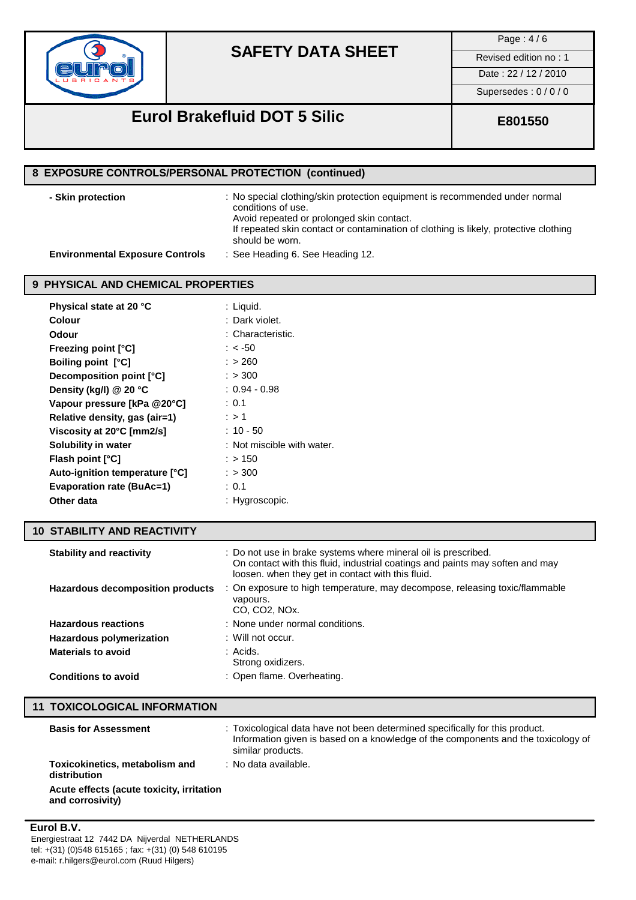

Page : 4 / 6

Date : 22 / 12 / 2010

Supersedes : 0 / 0 / 0

# **Eurol Brakefluid DOT 5 Silic <b>E801550**

| 8 EXPOSURE CONTROLS/PERSONAL PROTECTION (continued) |                                                                                                                                                                                                                                        |  |
|-----------------------------------------------------|----------------------------------------------------------------------------------------------------------------------------------------------------------------------------------------------------------------------------------------|--|
| - Skin protection                                   | : No special clothing/skin protection equipment is recommended under normal<br>conditions of use.<br>Avoid repeated or prolonged skin contact.<br>If repeated skin contact or contamination of clothing is likely, protective clothing |  |
| <b>Environmental Exposure Controls</b>              | should be worn.<br>: See Heading 6. See Heading 12.                                                                                                                                                                                    |  |
|                                                     |                                                                                                                                                                                                                                        |  |
| 9 PHYSICAL AND CHEMICAL PROPERTIES                  |                                                                                                                                                                                                                                        |  |
| Physical state at 20 °C                             | : Liquid.                                                                                                                                                                                                                              |  |
| <b>Colour</b>                                       | : Dark violet.                                                                                                                                                                                                                         |  |
| Odour                                               | : Characteristic.                                                                                                                                                                                                                      |  |
| <b>Freezing point [°C]</b>                          | $: < -50$                                                                                                                                                                                                                              |  |
| Boiling point [°C]                                  | : > 260                                                                                                                                                                                                                                |  |
| Decomposition point [°C]                            | : > 300                                                                                                                                                                                                                                |  |
| Density (kg/l) @ 20 °C                              | $: 0.94 - 0.98$                                                                                                                                                                                                                        |  |
| Vapour pressure [kPa @20°C]                         | : 0.1                                                                                                                                                                                                                                  |  |
| Relative density, gas (air=1)                       | : > 1                                                                                                                                                                                                                                  |  |
| Viscosity at 20°C [mm2/s]                           | $: 10 - 50$                                                                                                                                                                                                                            |  |
| Solubility in water                                 | : Not miscible with water.                                                                                                                                                                                                             |  |
| Flash point [°C]                                    | : > 150                                                                                                                                                                                                                                |  |
| Auto-ignition temperature [°C]                      | : > 300                                                                                                                                                                                                                                |  |
| <b>Evaporation rate (BuAc=1)</b>                    | : 0.1                                                                                                                                                                                                                                  |  |
| Other data                                          | : Hygroscopic.                                                                                                                                                                                                                         |  |
| <b>10 STABILITY AND REACTIVITY</b>                  |                                                                                                                                                                                                                                        |  |
| <b>Stability and reactivity</b>                     | : Do not use in brake systems where mineral oil is prescribed.                                                                                                                                                                         |  |
| <b>Hazardous decomposition products</b>             | On contact with this fluid, industrial coatings and paints may soften and may<br>loosen. when they get in contact with this fluid.<br>: On exposure to high temperature, may decompose, releasing toxic/flammable                      |  |
|                                                     | vapours.<br>CO, CO2, NOx.                                                                                                                                                                                                              |  |
| <b>Hazardous reactions</b>                          | : None under normal conditions.                                                                                                                                                                                                        |  |
| <b>Hazardous polymerization</b>                     | : Will not occur.                                                                                                                                                                                                                      |  |
| <b>Materials to avoid</b>                           | : Acids.                                                                                                                                                                                                                               |  |

# **11 TOXICOLOGICAL INFORMATION**

| <b>Basis for Assessment</b>                                   | : Toxicological data have not been determined specifically for this product.<br>Information given is based on a knowledge of the components and the toxicology of<br>similar products. |
|---------------------------------------------------------------|----------------------------------------------------------------------------------------------------------------------------------------------------------------------------------------|
| Toxicokinetics, metabolism and<br>distribution                | : No data available.                                                                                                                                                                   |
| Acute effects (acute toxicity, irritation<br>and corrosivity) |                                                                                                                                                                                        |

Strong oxidizers.

**Conditions to avoid** : Open flame. Overheating.

### **Eurol B.V.**

Energiestraat 12 7442 DA Nijverdal NETHERLANDS tel: +(31) (0)548 615165 ; fax: +(31) (0) 548 610195 e-mail: r.hilgers@eurol.com (Ruud Hilgers)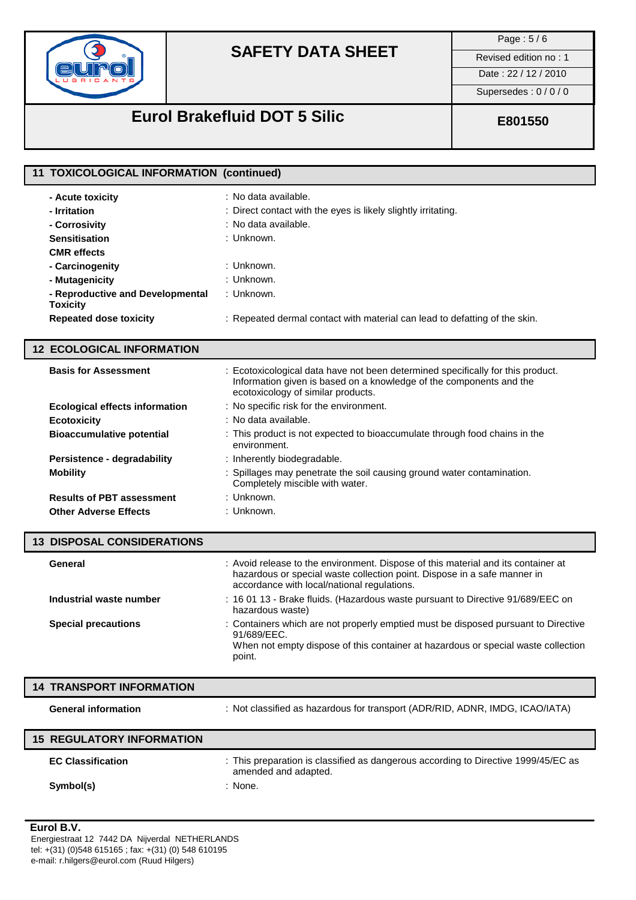

Page : 5 / 6

Date : 22 / 12 / 2010

Supersedes : 0 / 0 / 0

# **Eurol Brakefluid DOT 5 Silic <b>E801550**

| 11 TOXICOLOGICAL INFORMATION (continued)            |                                                                                                                                                                                                              |
|-----------------------------------------------------|--------------------------------------------------------------------------------------------------------------------------------------------------------------------------------------------------------------|
| - Acute toxicity                                    | : No data available.                                                                                                                                                                                         |
| - Irritation                                        | : Direct contact with the eyes is likely slightly irritating.                                                                                                                                                |
| - Corrosivity                                       | : No data available.                                                                                                                                                                                         |
| <b>Sensitisation</b>                                | : Unknown.                                                                                                                                                                                                   |
| <b>CMR</b> effects                                  |                                                                                                                                                                                                              |
| - Carcinogenity                                     | : Unknown.                                                                                                                                                                                                   |
| - Mutagenicity                                      | : Unknown.                                                                                                                                                                                                   |
| - Reproductive and Developmental<br><b>Toxicity</b> | : Unknown.                                                                                                                                                                                                   |
| <b>Repeated dose toxicity</b>                       | : Repeated dermal contact with material can lead to defatting of the skin.                                                                                                                                   |
| <b>12 ECOLOGICAL INFORMATION</b>                    |                                                                                                                                                                                                              |
| <b>Basis for Assessment</b>                         | : Ecotoxicological data have not been determined specifically for this product.<br>Information given is based on a knowledge of the components and the<br>ecotoxicology of similar products.                 |
| <b>Ecological effects information</b>               | : No specific risk for the environment.                                                                                                                                                                      |
| <b>Ecotoxicity</b>                                  | : No data available.                                                                                                                                                                                         |
| <b>Bioaccumulative potential</b>                    | : This product is not expected to bioaccumulate through food chains in the<br>environment.                                                                                                                   |
| Persistence - degradability                         | : Inherently biodegradable.                                                                                                                                                                                  |
| <b>Mobility</b>                                     | : Spillages may penetrate the soil causing ground water contamination.<br>Completely miscible with water.                                                                                                    |
| <b>Results of PBT assessment</b>                    | : Unknown.                                                                                                                                                                                                   |
| <b>Other Adverse Effects</b>                        | : Unknown.                                                                                                                                                                                                   |
| <b>13 DISPOSAL CONSIDERATIONS</b>                   |                                                                                                                                                                                                              |
| General                                             | : Avoid release to the environment. Dispose of this material and its container at<br>hazardous or special waste collection point. Dispose in a safe manner in<br>accordance with local/national regulations. |
| Industrial waste number                             | : 16 01 13 - Brake fluids. (Hazardous waste pursuant to Directive 91/689/EEC on<br>hazardous waste)                                                                                                          |
| <b>Special precautions</b>                          | : Containers which are not properly emptied must be disposed pursuant to Directive<br>91/689/EEC.<br>When not empty dispose of this container at hazardous or special waste collection<br>point.             |

### **14 TRANSPORT INFORMATION**

**General information** : Not classified as hazardous for transport (ADR/RID, ADNR, IMDG, ICAO/IATA)

| <b>15 REGULATORY INFORMATION</b> |                                                                                                            |
|----------------------------------|------------------------------------------------------------------------------------------------------------|
| <b>EC Classification</b>         | : This preparation is classified as dangerous according to Directive 1999/45/EC as<br>amended and adapted. |
| Symbol(s)                        | : None.                                                                                                    |